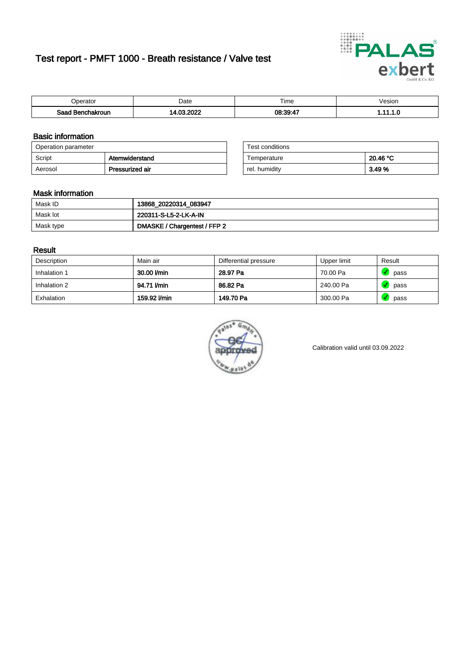# Test report - PMFT 1000 - Breath resistance / Valve test



| berator           | Date             | $- \cdot$<br>Гіmе    | /esion |
|-------------------|------------------|----------------------|--------|
| Saad<br>าchakroun | . oooc<br>$\sim$ | 08:39:4 <sup>-</sup> | .      |

### Basic information

| Operation parameter |                 | Test conditions |          |
|---------------------|-----------------|-----------------|----------|
| Script              | Atemwiderstand  | Temperature     | 20.46 °C |
| Aerosol             | Pressurized air | rel. humidity   | 3.49 %   |

| Test conditions |          |
|-----------------|----------|
| Temperature     | 20.46 °C |
| rel. humidity   | 3.49%    |

### Mask information

| Mask ID   | 13868_20220314_083947        |
|-----------|------------------------------|
| Mask lot  | 220311-S-L5-2-LK-A-IN        |
| Mask type | DMASKE / Chargentest / FFP 2 |

### Result

| Description  | Main air     | Differential pressure | Upper limit | Result |
|--------------|--------------|-----------------------|-------------|--------|
| Inhalation 1 | 30.00 l/min  | 28.97 Pa              | 70.00 Pa    | pass   |
| Inhalation 2 | 94.71 l/min  | 86.82 Pa              | 240.00 Pa   | pass   |
| Exhalation   | 159.92 l/min | 149.70 Pa             | 300.00 Pa   | pass   |



Calibration valid until 03.09.2022